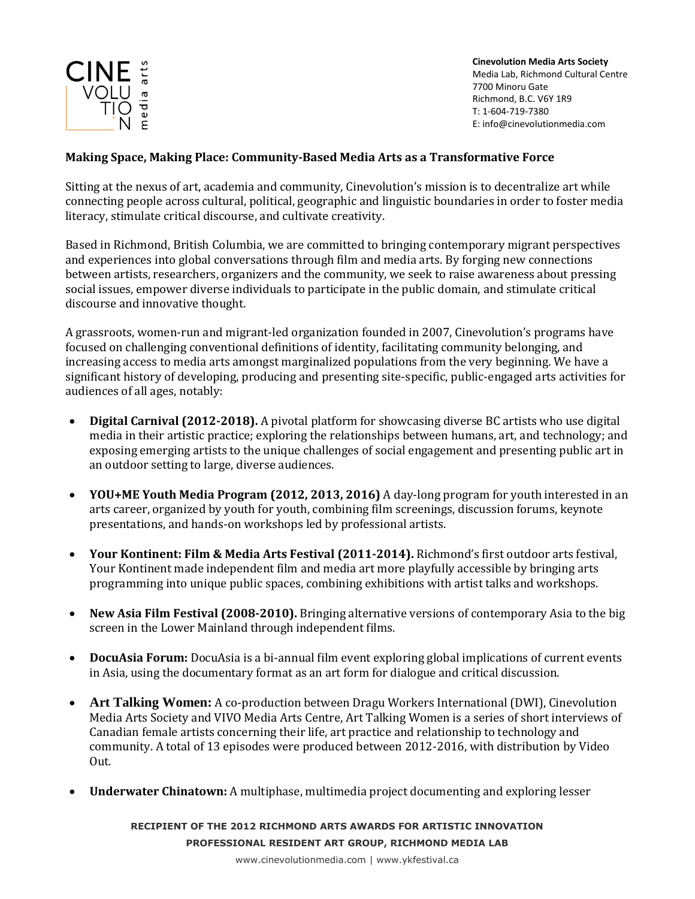

**Cinevolution Media Arts Society** Media Lab, Richmond Cultural Centre 7700 Minoru Gate Richmond, B.C. V6Y 1R9 T: 1-604-719-7380 E: info@cinevolutionmedia.com

## **Making Space, Making Place: Community-Based Media Arts as a Transformative Force**

Sitting at the nexus of art, academia and community, Cinevolution's mission is to decentralize art while connecting people across cultural, political, geographic and linguistic boundaries in order to foster media literacy, stimulate critical discourse, and cultivate creativity.

Based in Richmond, British Columbia, we are committed to bringing contemporary migrant perspectives and experiences into global conversations through film and media arts. By forging new connections between artists, researchers, organizers and the community, we seek to raise awareness about pressing social issues, empower diverse individuals to participate in the public domain, and stimulate critical discourse and innovative thought.

A grassroots, women-run and migrant-led organization founded in 2007, Cinevolution's programs have focused on challenging conventional definitions of identity, facilitating community belonging, and increasing access to media arts amongst marginalized populations from the very beginning. We have a significant history of developing, producing and presenting site-specific, public-engaged arts activities for audiences of all ages, notably:

- **Digital Carnival (2012-2018).** A pivotal platform for showcasing diverse BC artists who use digital media in their artistic practice; exploring the relationships between humans, art, and technology; and exposing emerging artists to the unique challenges of social engagement and presenting public art in an outdoor setting to large, diverse audiences.
- **YOU+ME Youth Media Program (2012, 2013, 2016)** A day-long program for youth interested in an arts career, organized by youth for youth, combining film screenings, discussion forums, keynote presentations, and hands-on workshops led by professional artists.
- **Your Kontinent: Film & Media Arts Festival (2011-2014).** Richmond's first outdoor arts festival, Your Kontinent made independent film and media art more playfully accessible by bringing arts programming into unique public spaces, combining exhibitions with artist talks and workshops.
- **New Asia Film Festival (2008-2010).** Bringing alternative versions of contemporary Asia to the big screen in the Lower Mainland through independent films.
- **DocuAsia Forum:** DocuAsia is a bi-annual film event exploring global implications of current events in Asia, using the documentary format as an art form for dialogue and critical discussion.
- **Art Talking Women:** A co-production between Dragu Workers International (DWI), Cinevolution Media Arts Society and VIVO Media Arts Centre, Art Talking Women is a series of short interviews of Canadian female artists concerning their life, art practice and relationship to technology and community. A total of 13 episodes were produced between 2012-2016, with distribution by Video Out.
- **Underwater Chinatown:** A multiphase, multimedia project documenting and exploring lesser

**RECIPIENT OF THE 2012 RICHMOND ARTS AWARDS FOR ARTISTIC INNOVATION PROFESSIONAL RESIDENT ART GROUP, RICHMOND MEDIA LAB**